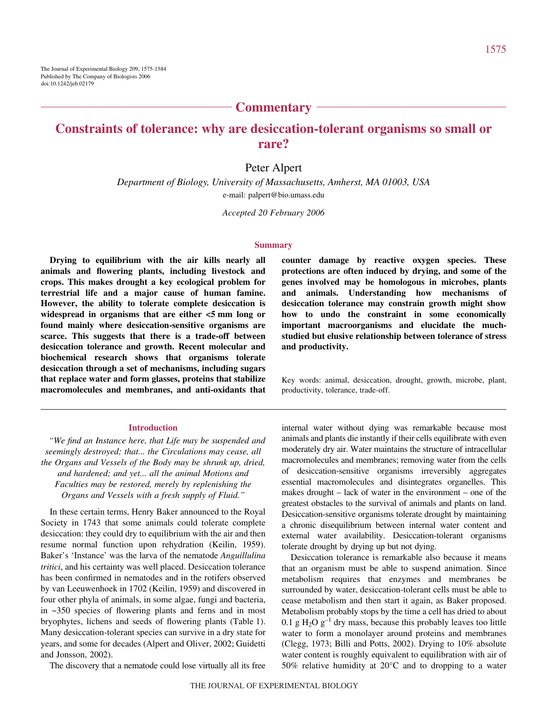# **Commentary**

# **Constraints of tolerance: why are desiccation-tolerant organisms so small or rare?**

## Peter Alpert

*Department of Biology, University of Massachusetts, Amherst, MA 01003, USA* e-mail: palpert@bio.umass.edu

*Accepted 20 February 2006*

#### **Summary**

**Drying to equilibrium with the air kills nearly all animals and flowering plants, including livestock and crops. This makes drought a key ecological problem for terrestrial life and a major cause of human famine. However, the ability to tolerate complete desiccation is** widespread in organisms that are either  $<$ 5 mm long or **found mainly where desiccation-sensitive organisms are scarce. This suggests that there is a trade-off between desiccation tolerance and growth. Recent molecular and biochemical research shows that organisms tolerate desiccation through a set of mechanisms, including sugars that replace water and form glasses, proteins that stabilize macromolecules and membranes, and anti-oxidants that**

#### **Introduction**

*"We find an Instance here, that Life may be suspended and seemingly destroyed; that... the Circulations may cease, all the Organs and Vessels of the Body may be shrunk up, dried, and hardened; and yet... all the animal Motions and Faculties may be restored, merely by replenishing the Organs and Vessels with a fresh supply of Fluid."*

In these certain terms, Henry Baker announced to the Royal Society in 1743 that some animals could tolerate complete desiccation: they could dry to equilibrium with the air and then resume normal function upon rehydration (Keilin, 1959). Baker's 'Instance' was the larva of the nematode *Anguillulina tritici*, and his certainty was well placed. Desiccation tolerance has been confirmed in nematodes and in the rotifers observed by van Leeuwenhoek in 1702 (Keilin, 1959) and discovered in four other phyla of animals, in some algae, fungi and bacteria, in ~350 species of flowering plants and ferns and in most bryophytes, lichens and seeds of flowering plants (Table 1). Many desiccation-tolerant species can survive in a dry state for years, and some for decades (Alpert and Oliver, 2002; Guidetti and Jonsson, 2002).

The discovery that a nematode could lose virtually all its free

**counter damage by reactive oxygen species. These protections are often induced by drying, and some of the genes involved may be homologous in microbes, plants and animals. Understanding how mechanisms of desiccation tolerance may constrain growth might show how to undo the constraint in some economically important macroorganisms and elucidate the muchstudied but elusive relationship between tolerance of stress and productivity.**

Key words: animal, desiccation, drought, growth, microbe, plant, productivity, tolerance, trade-off.

internal water without dying was remarkable because most animals and plants die instantly if their cells equilibrate with even moderately dry air. Water maintains the structure of intracellular macromolecules and membranes; removing water from the cells of desiccation-sensitive organisms irreversibly aggregates essential macromolecules and disintegrates organelles. This makes drought – lack of water in the environment – one of the greatest obstacles to the survival of animals and plants on land. Desiccation-sensitive organisms tolerate drought by maintaining a chronic disequilibrium between internal water content and external water availability. Desiccation-tolerant organisms tolerate drought by drying up but not dying.

Desiccation tolerance is remarkable also because it means that an organism must be able to suspend animation. Since metabolism requires that enzymes and membranes be surrounded by water, desiccation-tolerant cells must be able to cease metabolism and then start it again, as Baker proposed. Metabolism probably stops by the time a cell has dried to about 0.1 g H<sub>2</sub>O g<sup>-1</sup> dry mass, because this probably leaves too little water to form a monolayer around proteins and membranes (Clegg, 1973; Billi and Potts, 2002). Drying to 10% absolute water content is roughly equivalent to equilibration with air of 50% relative humidity at 20°C and to dropping to a water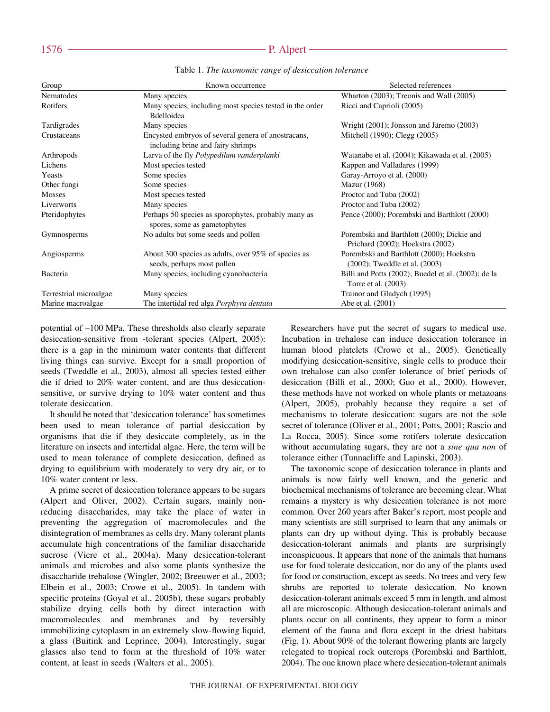| Group                  | Known occurrence                                                                        | Selected references                                                            |
|------------------------|-----------------------------------------------------------------------------------------|--------------------------------------------------------------------------------|
| Nematodes              | Many species                                                                            | Wharton $(2003)$ ; Treonis and Wall $(2005)$                                   |
| Rotifers               | Many species, including most species tested in the order<br>Bdelloidea                  | Ricci and Caprioli (2005)                                                      |
| Tardigrades            | Many species                                                                            | Wright (2001); Jönsson and Järemo (2003)                                       |
| Crustaceans            | Encysted embryos of several genera of anostracans,<br>including brine and fairy shrimps | Mitchell (1990); Clegg (2005)                                                  |
| Arthropods             | Larva of the fly Polypedilum vanderplanki                                               | Watanabe et al. (2004); Kikawada et al. (2005)                                 |
| Lichens                | Most species tested                                                                     | Kappen and Valladares (1999)                                                   |
| <b>Yeasts</b>          | Some species                                                                            | Garay-Arroyo et al. (2000)                                                     |
| Other fungi            | Some species                                                                            | <b>Mazur</b> (1968)                                                            |
| <b>Mosses</b>          | Most species tested                                                                     | Proctor and Tuba (2002)                                                        |
| Liverworts             | Many species                                                                            | Proctor and Tuba (2002)                                                        |
| Pteridophytes          | Perhaps 50 species as sporophytes, probably many as<br>spores, some as gametophytes     | Pence (2000); Porembski and Barthlott (2000)                                   |
| Gymnosperms            | No adults but some seeds and pollen                                                     | Porembski and Barthlott (2000); Dickie and<br>Prichard (2002); Hoekstra (2002) |
| Angiosperms            | About 300 species as adults, over 95% of species as<br>seeds, perhaps most pollen       | Porembski and Barthlott (2000); Hoekstra<br>(2002); Tweddle et al. (2003)      |
| Bacteria               | Many species, including cyanobacteria                                                   | Billi and Potts (2002); Buedel et al. (2002); de la<br>Torre et al. (2003)     |
| Terrestrial microalgae | Many species                                                                            | Trainor and Gladych (1995)                                                     |
| Marine macroalgae      | The intertidal red alga <i>Porphyra dentata</i>                                         | Abe et al. (2001)                                                              |

Table 1. *The taxonomic range of desiccation tolerance*

potential of  $-100$  MPa. These thresholds also clearly separate desiccation-sensitive from -tolerant species (Alpert, 2005): there is a gap in the minimum water contents that different living things can survive. Except for a small proportion of seeds (Tweddle et al., 2003), almost all species tested either die if dried to 20% water content, and are thus desiccationsensitive, or survive drying to 10% water content and thus tolerate desiccation.

It should be noted that 'desiccation tolerance' has sometimes been used to mean tolerance of partial desiccation by organisms that die if they desiccate completely, as in the literature on insects and intertidal algae. Here, the term will be used to mean tolerance of complete desiccation, defined as drying to equilibrium with moderately to very dry air, or to 10% water content or less.

A prime secret of desiccation tolerance appears to be sugars (Alpert and Oliver, 2002). Certain sugars, mainly nonreducing disaccharides, may take the place of water in preventing the aggregation of macromolecules and the disintegration of membranes as cells dry. Many tolerant plants accumulate high concentrations of the familiar disaccharide sucrose (Vicre et al., 2004a). Many desiccation-tolerant animals and microbes and also some plants synthesize the disaccharide trehalose (Wingler, 2002; Breeuwer et al., 2003; Elbein et al., 2003; Crowe et al., 2005). In tandem with specific proteins (Goyal et al., 2005b), these sugars probably stabilize drying cells both by direct interaction with macromolecules and membranes and by reversibly immobilizing cytoplasm in an extremely slow-flowing liquid, a glass (Buitink and Leprince, 2004). Interestingly, sugar glasses also tend to form at the threshold of 10% water content, at least in seeds (Walters et al., 2005).

Researchers have put the secret of sugars to medical use. Incubation in trehalose can induce desiccation tolerance in human blood platelets (Crowe et al., 2005). Genetically modifying desiccation-sensitive, single cells to produce their own trehalose can also confer tolerance of brief periods of desiccation (Billi et al., 2000; Guo et al., 2000). However, these methods have not worked on whole plants or metazoans (Alpert, 2005), probably because they require a set of mechanisms to tolerate desiccation: sugars are not the sole secret of tolerance (Oliver et al., 2001; Potts, 2001; Rascio and La Rocca, 2005). Since some rotifers tolerate desiccation without accumulating sugars, they are not a *sine qua non* of tolerance either (Tunnacliffe and Lapinski, 2003).

The taxonomic scope of desiccation tolerance in plants and animals is now fairly well known, and the genetic and biochemical mechanisms of tolerance are becoming clear. What remains a mystery is why desiccation tolerance is not more common. Over 260 years after Baker's report, most people and many scientists are still surprised to learn that any animals or plants can dry up without dying. This is probably because desiccation-tolerant animals and plants are surprisingly inconspicuous. It appears that none of the animals that humans use for food tolerate desiccation, nor do any of the plants used for food or construction, except as seeds. No trees and very few shrubs are reported to tolerate desiccation. No known desiccation-tolerant animals exceed 5 mm in length, and almost all are microscopic. Although desiccation-tolerant animals and plants occur on all continents, they appear to form a minor element of the fauna and flora except in the driest habitats (Fig. 1). About  $90\%$  of the tolerant flowering plants are largely relegated to tropical rock outcrops (Porembski and Barthlott, 2004). The one known place where desiccation-tolerant animals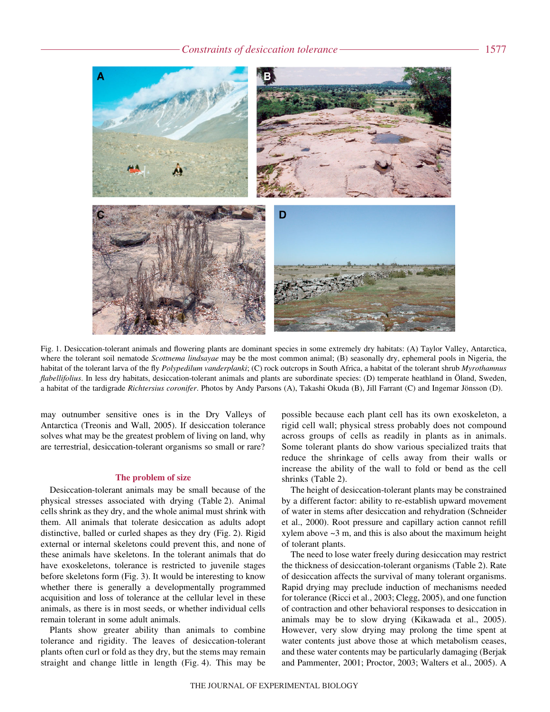#### *Constraints of desiccation tolerance* 1577



Fig. 1. Desiccation-tolerant animals and flowering plants are dominant species in some extremely dry habitats: (A) Taylor Valley, Antarctica, where the tolerant soil nematode *Scottnema lindsayae* may be the most common animal; (B) seasonally dry, ephemeral pools in Nigeria, the habitat of the tolerant larva of the fly *Polypedilum vanderplanki*; (C) rock outcrops in South Africa, a habitat of the tolerant shrub *Myrothamnus flabellifolius*. In less dry habitats, desiccation-tolerant animals and plants are subordinate species: (D) temperate heathland in Öland, Sweden, a habitat of the tardigrade *Richtersius coronifer*. Photos by Andy Parsons (A), Takashi Okuda (B), Jill Farrant (C) and Ingemar Jönsson (D).

may outnumber sensitive ones is in the Dry Valleys of Antarctica (Treonis and Wall, 2005). If desiccation tolerance solves what may be the greatest problem of living on land, why are terrestrial, desiccation-tolerant organisms so small or rare?

#### **The problem of size**

Desiccation-tolerant animals may be small because of the physical stresses associated with drying (Table 2). Animal cells shrink as they dry, and the whole animal must shrink with them. All animals that tolerate desiccation as adults adopt distinctive, balled or curled shapes as they dry (Fig. 2). Rigid external or internal skeletons could prevent this, and none of these animals have skeletons. In the tolerant animals that do have exoskeletons, tolerance is restricted to juvenile stages before skeletons form (Fig. 3). It would be interesting to know whether there is generally a developmentally programmed acquisition and loss of tolerance at the cellular level in these animals, as there is in most seeds, or whether individual cells remain tolerant in some adult animals.

Plants show greater ability than animals to combine tolerance and rigidity. The leaves of desiccation-tolerant plants often curl or fold as they dry, but the stems may remain straight and change little in length (Fig. 4). This may be

possible because each plant cell has its own exoskeleton, a rigid cell wall; physical stress probably does not compound across groups of cells as readily in plants as in animals. Some tolerant plants do show various specialized traits that reduce the shrinkage of cells away from their walls or increase the ability of the wall to fold or bend as the cell shrinks (Table 2).

The height of desiccation-tolerant plants may be constrained by a different factor: ability to re-establish upward movement of water in stems after desiccation and rehydration (Schneider et al., 2000). Root pressure and capillary action cannot refill xylem above  $\sim$ 3 m, and this is also about the maximum height of tolerant plants.

The need to lose water freely during desiccation may restrict the thickness of desiccation-tolerant organisms (Table 2). Rate of desiccation affects the survival of many tolerant organisms. Rapid drying may preclude induction of mechanisms needed for tolerance (Ricci et al., 2003; Clegg, 2005), and one function of contraction and other behavioral responses to desiccation in animals may be to slow drying (Kikawada et al., 2005). However, very slow drying may prolong the time spent at water contents just above those at which metabolism ceases, and these water contents may be particularly damaging (Berjak and Pammenter, 2001; Proctor, 2003; Walters et al., 2005). A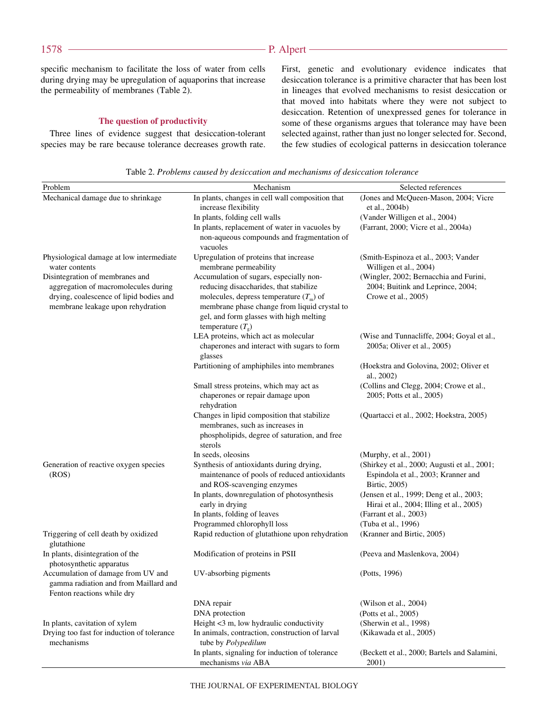## - P. Alpert -

specific mechanism to facilitate the loss of water from cells during drying may be upregulation of aquaporins that increase the permeability of membranes (Table 2).

## **The question of productivity**

Three lines of evidence suggest that desiccation-tolerant species may be rare because tolerance decreases growth rate. First, genetic and evolutionary evidence indicates that desiccation tolerance is a primitive character that has been lost in lineages that evolved mechanisms to resist desiccation or that moved into habitats where they were not subject to desiccation. Retention of unexpressed genes for tolerance in some of these organisms argues that tolerance may have been selected against, rather than just no longer selected for. Second, the few studies of ecological patterns in desiccation tolerance

Table 2. *Problems caused by desiccation and mechanisms of desiccation tolerance*

| Problem                                                                      | Mechanism                                                                | Selected references                                     |
|------------------------------------------------------------------------------|--------------------------------------------------------------------------|---------------------------------------------------------|
| Mechanical damage due to shrinkage                                           | In plants, changes in cell wall composition that<br>increase flexibility | (Jones and McQueen-Mason, 2004; Vicre<br>et al., 2004b) |
|                                                                              | In plants, folding cell walls                                            | (Vander Willigen et al., 2004)                          |
|                                                                              | In plants, replacement of water in vacuoles by                           | (Farrant, 2000; Vicre et al., 2004a)                    |
|                                                                              | non-aqueous compounds and fragmentation of<br>vacuoles                   |                                                         |
| Physiological damage at low intermediate                                     | Upregulation of proteins that increase                                   | (Smith-Espinoza et al., 2003; Vander                    |
| water contents                                                               | membrane permeability                                                    | Willigen et al., 2004)                                  |
| Disintegration of membranes and                                              | Accumulation of sugars, especially non-                                  | (Wingler, 2002; Bernacchia and Furini,                  |
| aggregation of macromolecules during                                         | reducing disaccharides, that stabilize                                   | 2004; Buitink and Leprince, 2004;                       |
| drying, coalescence of lipid bodies and                                      | molecules, depress temperature $(Tm)$ of                                 | Crowe et al., 2005)                                     |
| membrane leakage upon rehydration                                            | membrane phase change from liquid crystal to                             |                                                         |
|                                                                              | gel, and form glasses with high melting                                  |                                                         |
|                                                                              | temperature $(T_e)$                                                      |                                                         |
|                                                                              | LEA proteins, which act as molecular                                     | (Wise and Tunnacliffe, 2004; Goyal et al.,              |
|                                                                              | chaperones and interact with sugars to form                              | 2005a; Oliver et al., 2005)                             |
|                                                                              | glasses                                                                  |                                                         |
|                                                                              | Partitioning of amphiphiles into membranes                               | (Hoekstra and Golovina, 2002; Oliver et<br>al., 2002)   |
|                                                                              | Small stress proteins, which may act as                                  | (Collins and Clegg, 2004; Crowe et al.,                 |
|                                                                              | chaperones or repair damage upon<br>rehydration                          | 2005; Potts et al., 2005)                               |
|                                                                              | Changes in lipid composition that stabilize                              | (Quartacci et al., 2002; Hoekstra, 2005)                |
|                                                                              | membranes, such as increases in                                          |                                                         |
|                                                                              | phospholipids, degree of saturation, and free                            |                                                         |
|                                                                              | sterols                                                                  |                                                         |
|                                                                              | In seeds, oleosins                                                       | (Murphy, et al., 2001)                                  |
| Generation of reactive oxygen species                                        | Synthesis of antioxidants during drying,                                 | (Shirkey et al., 2000; Augusti et al., 2001;            |
| (ROS)                                                                        | maintenance of pools of reduced antioxidants                             | Espindola et al., 2003; Kranner and                     |
|                                                                              | and ROS-scavenging enzymes                                               | Birtic, 2005)                                           |
|                                                                              | In plants, downregulation of photosynthesis                              | (Jensen et al., 1999; Deng et al., 2003;                |
|                                                                              | early in drying                                                          | Hirai et al., 2004; Illing et al., 2005)                |
|                                                                              | In plants, folding of leaves<br>Programmed chlorophyll loss              | (Farrant et al., 2003)<br>(Tuba et al., 1996)           |
| Triggering of cell death by oxidized                                         | Rapid reduction of glutathione upon rehydration                          | (Kranner and Birtic, 2005)                              |
| glutathione                                                                  |                                                                          |                                                         |
| In plants, disintegration of the<br>photosynthetic apparatus                 | Modification of proteins in PSII                                         | (Peeva and Maslenkova, 2004)                            |
| Accumulation of damage from UV and                                           | UV-absorbing pigments                                                    | (Potts, 1996)                                           |
| gamma radiation and from Maillard and                                        |                                                                          |                                                         |
| Fenton reactions while dry                                                   |                                                                          |                                                         |
|                                                                              | DNA repair                                                               | (Wilson et al., 2004)                                   |
|                                                                              | DNA protection<br>Height <3 m, low hydraulic conductivity                | (Potts et al., 2005)<br>(Sherwin et al., 1998)          |
| In plants, cavitation of xylem<br>Drying too fast for induction of tolerance | In animals, contraction, construction of larval                          |                                                         |
| mechanisms                                                                   | tube by Polypedilum                                                      | (Kikawada et al., 2005)                                 |
|                                                                              | In plants, signaling for induction of tolerance                          | (Beckett et al., 2000; Bartels and Salamini,            |
|                                                                              | mechanisms via ABA                                                       | 2001)                                                   |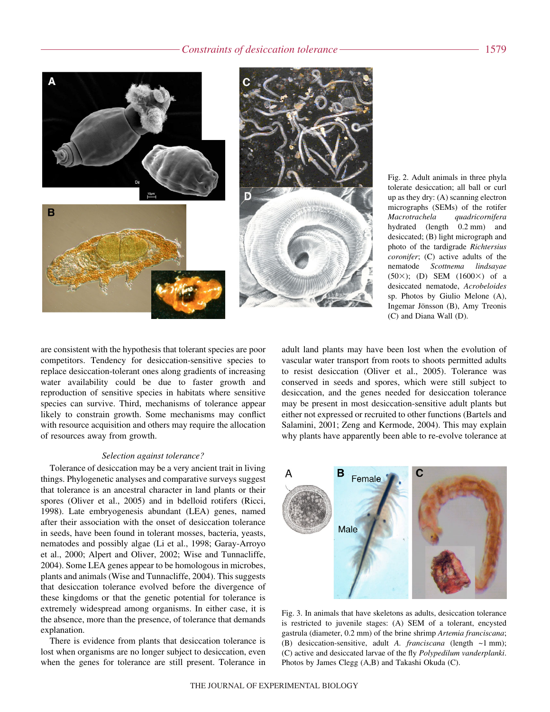

Fig. 2. Adult animals in three phyla tolerate desiccation; all ball or curl up as they dry: (A) scanning electron micrographs (SEMs) of the rotifer *Macrotrachela quadricornifera* hydrated (length 0.2 mm) and desiccated; (B) light micrograph and photo of the tardigrade *Richtersius coronifer*; (C) active adults of the nematode *Scottnema lindsayae*  $(50\times);$  (D) SEM  $(1600\times)$  of a desiccated nematode, *Acrobeloides* sp. Photos by Giulio Melone (A), Ingemar Jönsson (B), Amy Treonis (C) and Diana Wall (D).

are consistent with the hypothesis that tolerant species are poor competitors. Tendency for desiccation-sensitive species to replace desiccation-tolerant ones along gradients of increasing water availability could be due to faster growth and reproduction of sensitive species in habitats where sensitive species can survive. Third, mechanisms of tolerance appear likely to constrain growth. Some mechanisms may conflict with resource acquisition and others may require the allocation of resources away from growth.

#### *Selection against tolerance?*

Tolerance of desiccation may be a very ancient trait in living things. Phylogenetic analyses and comparative surveys suggest that tolerance is an ancestral character in land plants or their spores (Oliver et al., 2005) and in bdelloid rotifers (Ricci, 1998). Late embryogenesis abundant (LEA) genes, named after their association with the onset of desiccation tolerance in seeds, have been found in tolerant mosses, bacteria, yeasts, nematodes and possibly algae (Li et al., 1998; Garay-Arroyo et al., 2000; Alpert and Oliver, 2002; Wise and Tunnacliffe, 2004). Some LEA genes appear to be homologous in microbes, plants and animals (Wise and Tunnacliffe, 2004). This suggests that desiccation tolerance evolved before the divergence of these kingdoms or that the genetic potential for tolerance is extremely widespread among organisms. In either case, it is the absence, more than the presence, of tolerance that demands explanation.

There is evidence from plants that desiccation tolerance is lost when organisms are no longer subject to desiccation, even when the genes for tolerance are still present. Tolerance in

adult land plants may have been lost when the evolution of vascular water transport from roots to shoots permitted adults to resist desiccation (Oliver et al., 2005). Tolerance was conserved in seeds and spores, which were still subject to desiccation, and the genes needed for desiccation tolerance may be present in most desiccation-sensitive adult plants but either not expressed or recruited to other functions (Bartels and Salamini, 2001; Zeng and Kermode, 2004). This may explain why plants have apparently been able to re-evolve tolerance at



Fig. 3. In animals that have skeletons as adults, desiccation tolerance is restricted to juvenile stages: (A) SEM of a tolerant, encysted gastrula (diameter, 0.2 mm) of the brine shrimp *Artemia franciscana*; (B) desiccation-sensitive, adult *A. franciscana* (length ~1 mm); (C) active and desiccated larvae of the fly *Polypedilum vanderplanki*. Photos by James Clegg (A,B) and Takashi Okuda (C).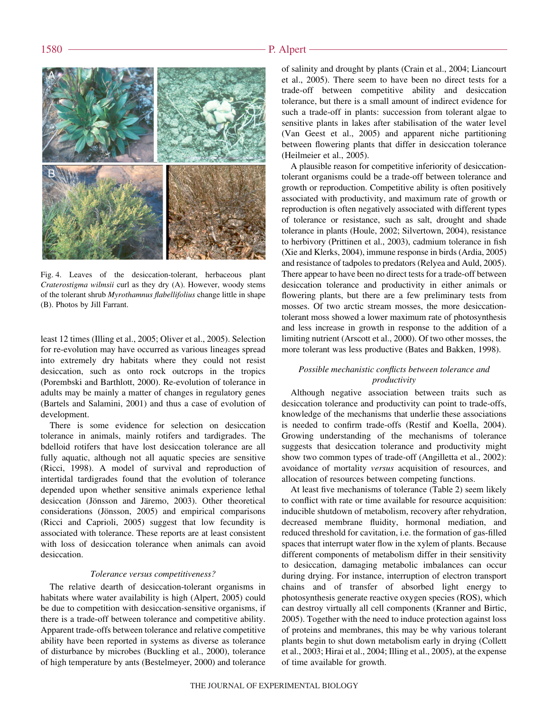

Fig. 4. Leaves of the desiccation-tolerant, herbaceous plant *Craterostigma wilmsii* curl as they dry (A). However, woody stems of the tolerant shrub *Myrothamnus flabellifolius* change little in shape (B). Photos by Jill Farrant.

least 12 times (Illing et al., 2005; Oliver et al., 2005). Selection for re-evolution may have occurred as various lineages spread into extremely dry habitats where they could not resist desiccation, such as onto rock outcrops in the tropics (Porembski and Barthlott, 2000). Re-evolution of tolerance in adults may be mainly a matter of changes in regulatory genes (Bartels and Salamini, 2001) and thus a case of evolution of development.

There is some evidence for selection on desiccation tolerance in animals, mainly rotifers and tardigrades. The bdelloid rotifers that have lost desiccation tolerance are all fully aquatic, although not all aquatic species are sensitive (Ricci, 1998). A model of survival and reproduction of intertidal tardigrades found that the evolution of tolerance depended upon whether sensitive animals experience lethal desiccation (Jönsson and Järemo, 2003). Other theoretical considerations (Jönsson, 2005) and empirical comparisons (Ricci and Caprioli, 2005) suggest that low fecundity is associated with tolerance. These reports are at least consistent with loss of desiccation tolerance when animals can avoid desiccation.

#### *Tolerance versus competitiveness?*

The relative dearth of desiccation-tolerant organisms in habitats where water availability is high (Alpert, 2005) could be due to competition with desiccation-sensitive organisms, if there is a trade-off between tolerance and competitive ability. Apparent trade-offs between tolerance and relative competitive ability have been reported in systems as diverse as tolerance of disturbance by microbes (Buckling et al., 2000), tolerance of high temperature by ants (Bestelmeyer, 2000) and tolerance

of salinity and drought by plants (Crain et al., 2004; Liancourt et al., 2005). There seem to have been no direct tests for a trade-off between competitive ability and desiccation tolerance, but there is a small amount of indirect evidence for such a trade-off in plants: succession from tolerant algae to sensitive plants in lakes after stabilisation of the water level (Van Geest et al., 2005) and apparent niche partitioning between flowering plants that differ in desiccation tolerance (Heilmeier et al., 2005).

A plausible reason for competitive inferiority of desiccationtolerant organisms could be a trade-off between tolerance and growth or reproduction. Competitive ability is often positively associated with productivity, and maximum rate of growth or reproduction is often negatively associated with different types of tolerance or resistance, such as salt, drought and shade tolerance in plants (Houle, 2002; Silvertown, 2004), resistance to herbivory (Prittinen et al., 2003), cadmium tolerance in fish (Xie and Klerks, 2004), immune response in birds (Ardia, 2005) and resistance of tadpoles to predators (Relyea and Auld, 2005). There appear to have been no direct tests for a trade-off between desiccation tolerance and productivity in either animals or flowering plants, but there are a few preliminary tests from mosses. Of two arctic stream mosses, the more desiccationtolerant moss showed a lower maximum rate of photosynthesis and less increase in growth in response to the addition of a limiting nutrient (Arscott et al., 2000). Of two other mosses, the more tolerant was less productive (Bates and Bakken, 1998).

## *Possible mechanistic conflicts between tolerance and productivity*

Although negative association between traits such as desiccation tolerance and productivity can point to trade-offs, knowledge of the mechanisms that underlie these associations is needed to confirm trade-offs (Restif and Koella, 2004). Growing understanding of the mechanisms of tolerance suggests that desiccation tolerance and productivity might show two common types of trade-off (Angilletta et al., 2002): avoidance of mortality *versus* acquisition of resources, and allocation of resources between competing functions.

At least five mechanisms of tolerance (Table 2) seem likely to conflict with rate or time available for resource acquisition: inducible shutdown of metabolism, recovery after rehydration, decreased membrane fluidity, hormonal mediation, and reduced threshold for cavitation, i.e. the formation of gas-filled spaces that interrupt water flow in the xylem of plants. Because different components of metabolism differ in their sensitivity to desiccation, damaging metabolic imbalances can occur during drying. For instance, interruption of electron transport chains and of transfer of absorbed light energy to photosynthesis generate reactive oxygen species (ROS), which can destroy virtually all cell components (Kranner and Birtic, 2005). Together with the need to induce protection against loss of proteins and membranes, this may be why various tolerant plants begin to shut down metabolism early in drying (Collett et al., 2003; Hirai et al., 2004; Illing et al., 2005), at the expense of time available for growth.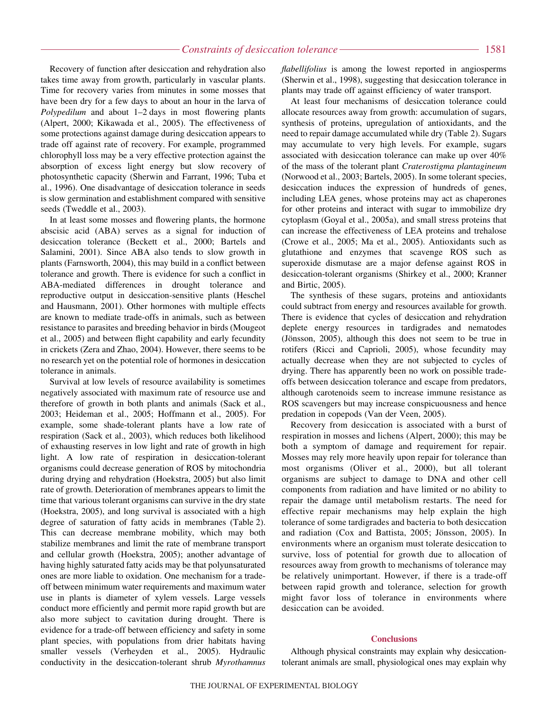Recovery of function after desiccation and rehydration also takes time away from growth, particularly in vascular plants. Time for recovery varies from minutes in some mosses that have been dry for a few days to about an hour in the larva of *Polypedilum* and about 1–2 days in most flowering plants (Alpert, 2000; Kikawada et al., 2005). The effectiveness of some protections against damage during desiccation appears to trade off against rate of recovery. For example, programmed chlorophyll loss may be a very effective protection against the absorption of excess light energy but slow recovery of photosynthetic capacity (Sherwin and Farrant, 1996; Tuba et al., 1996). One disadvantage of desiccation tolerance in seeds is slow germination and establishment compared with sensitive seeds (Tweddle et al., 2003).

In at least some mosses and flowering plants, the hormone abscisic acid (ABA) serves as a signal for induction of desiccation tolerance (Beckett et al., 2000; Bartels and Salamini, 2001). Since ABA also tends to slow growth in plants (Farnsworth, 2004), this may build in a conflict between tolerance and growth. There is evidence for such a conflict in ABA-mediated differences in drought tolerance and reproductive output in desiccation-sensitive plants (Heschel and Hausmann, 2001). Other hormones with multiple effects are known to mediate trade-offs in animals, such as between resistance to parasites and breeding behavior in birds (Mougeot et al., 2005) and between flight capability and early fecundity in crickets (Zera and Zhao, 2004). However, there seems to be no research yet on the potential role of hormones in desiccation tolerance in animals.

Survival at low levels of resource availability is sometimes negatively associated with maximum rate of resource use and therefore of growth in both plants and animals (Sack et al., 2003; Heideman et al., 2005; Hoffmann et al., 2005). For example, some shade-tolerant plants have a low rate of respiration (Sack et al., 2003), which reduces both likelihood of exhausting reserves in low light and rate of growth in high light. A low rate of respiration in desiccation-tolerant organisms could decrease generation of ROS by mitochondria during drying and rehydration (Hoekstra, 2005) but also limit rate of growth. Deterioration of membranes appears to limit the time that various tolerant organisms can survive in the dry state (Hoekstra, 2005), and long survival is associated with a high degree of saturation of fatty acids in membranes (Table 2). This can decrease membrane mobility, which may both stabilize membranes and limit the rate of membrane transport and cellular growth (Hoekstra, 2005); another advantage of having highly saturated fatty acids may be that polyunsaturated ones are more liable to oxidation. One mechanism for a tradeoff between minimum water requirements and maximum water use in plants is diameter of xylem vessels. Large vessels conduct more efficiently and permit more rapid growth but are also more subject to cavitation during drought. There is evidence for a trade-off between efficiency and safety in some plant species, with populations from drier habitats having smaller vessels (Verheyden et al., 2005). Hydraulic conductivity in the desiccation-tolerant shrub *Myrothamnus*

*flabellifolius* is among the lowest reported in angiosperms (Sherwin et al., 1998), suggesting that desiccation tolerance in plants may trade off against efficiency of water transport.

At least four mechanisms of desiccation tolerance could allocate resources away from growth: accumulation of sugars, synthesis of proteins, upregulation of antioxidants, and the need to repair damage accumulated while dry (Table 2). Sugars may accumulate to very high levels. For example, sugars associated with desiccation tolerance can make up over 40% of the mass of the tolerant plant *Craterostigma plantagineum* (Norwood et al., 2003; Bartels, 2005). In some tolerant species, desiccation induces the expression of hundreds of genes, including LEA genes, whose proteins may act as chaperones for other proteins and interact with sugar to immobilize dry cytoplasm (Goyal et al., 2005a), and small stress proteins that can increase the effectiveness of LEA proteins and trehalose (Crowe et al., 2005; Ma et al., 2005). Antioxidants such as glutathione and enzymes that scavenge ROS such as superoxide dismutase are a major defense against ROS in desiccation-tolerant organisms (Shirkey et al., 2000; Kranner and Birtic, 2005).

The synthesis of these sugars, proteins and antioxidants could subtract from energy and resources available for growth. There is evidence that cycles of desiccation and rehydration deplete energy resources in tardigrades and nematodes (Jönsson, 2005), although this does not seem to be true in rotifers (Ricci and Caprioli, 2005), whose fecundity may actually decrease when they are not subjected to cycles of drying. There has apparently been no work on possible tradeoffs between desiccation tolerance and escape from predators, although carotenoids seem to increase immune resistance as ROS scavengers but may increase conspicuousness and hence predation in copepods (Van der Veen, 2005).

Recovery from desiccation is associated with a burst of respiration in mosses and lichens (Alpert, 2000); this may be both a symptom of damage and requirement for repair. Mosses may rely more heavily upon repair for tolerance than most organisms (Oliver et al., 2000), but all tolerant organisms are subject to damage to DNA and other cell components from radiation and have limited or no ability to repair the damage until metabolism restarts. The need for effective repair mechanisms may help explain the high tolerance of some tardigrades and bacteria to both desiccation and radiation (Cox and Battista, 2005; Jönsson, 2005). In environments where an organism must tolerate desiccation to survive, loss of potential for growth due to allocation of resources away from growth to mechanisms of tolerance may be relatively unimportant. However, if there is a trade-off between rapid growth and tolerance, selection for growth might favor loss of tolerance in environments where desiccation can be avoided.

#### **Conclusions**

Although physical constraints may explain why desiccationtolerant animals are small, physiological ones may explain why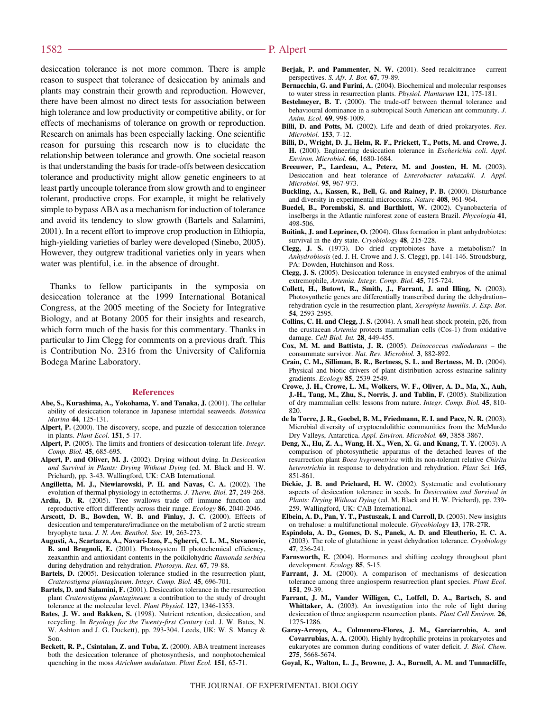desiccation tolerance is not more common. There is ample reason to suspect that tolerance of desiccation by animals and plants may constrain their growth and reproduction. However, there have been almost no direct tests for association between high tolerance and low productivity or competitive ability, or for effects of mechanisms of tolerance on growth or reproduction. Research on animals has been especially lacking. One scientific reason for pursuing this research now is to elucidate the relationship between tolerance and growth. One societal reason is that understanding the basis for trade-offs between desiccation tolerance and productivity might allow genetic engineers to at least partly uncouple tolerance from slow growth and to engineer tolerant, productive crops. For example, it might be relatively simple to bypass ABA as a mechanism for induction of tolerance and avoid its tendency to slow growth (Bartels and Salamini, 2001). In a recent effort to improve crop production in Ethiopia, high-yielding varieties of barley were developed (Sinebo, 2005). However, they outgrew traditional varieties only in years when water was plentiful, i.e. in the absence of drought.

Thanks to fellow participants in the symposia on desiccation tolerance at the 1999 International Botanical Congress, at the 2005 meeting of the Society for Integrative Biology, and at Botany 2005 for their insights and research, which form much of the basis for this commentary. Thanks in particular to Jim Clegg for comments on a previous draft. This is Contribution No. 2316 from the University of California Bodega Marine Laboratory.

#### **References**

- **Abe, S., Kurashima, A., Yokohama, Y. and Tanaka, J.** (2001). The cellular ability of desiccation tolerance in Japanese intertidal seaweeds. *Botanica Marina* **44**, 125-131.
- **Alpert, P.** (2000). The discovery, scope, and puzzle of desiccation tolerance in plants. *Plant Ecol*. **151**, 5-17.
- **Alpert, P.** (2005). The limits and frontiers of desiccation-tolerant life. *Integr. Comp. Biol.* **45**, 685-695.
- **Alpert, P. and Oliver, M. J.** (2002). Drying without dying. In *Desiccation and Survival in Plants: Drying Without Dying* (ed. M. Black and H. W. Prichard), pp. 3-43. Wallingford, UK: CAB International.
- **Angilletta, M. J., Niewiarowski, P. H. and Navas, C. A.** (2002). The evolution of thermal physiology in ectotherms. *J. Therm. Biol.* **27**, 249-268.
- **Ardia, D. R.** (2005). Tree swallows trade off immune function and reproductive effort differently across their range. *Ecology* **86**, 2040-2046.
- **Arscott, D. B., Bowden, W. B. and Finlay, J. C.** (2000). Effects of desiccation and temperature/irradiance on the metabolism of 2 arctic stream bryophyte taxa. *J. N. Am. Benthol. Soc.* **19**, 263-273.
- **Augusti, A., Scartazza, A., Navari-Izzo, F., Sgherri, C. L. M., Stevanovic, B. and Brugnoli, E.** (2001). Photosystem II photochemical efficiency, zeaxanthin and antioxidant contents in the poikilohydric *Ramonda serbica* during dehydration and rehydration. *Photosyn. Res.* **67**, 79-88.
- **Bartels, D.** (2005). Desiccation tolerance studied in the resurrection plant, *Craterostigma plantagineum*. *Integr. Comp. Biol.* **45**, 696-701.
- **Bartels, D. and Salamini, F.** (2001). Desiccation tolerance in the resurrection plant *Craterostigma plantagineum*: a contribution to the study of drought tolerance at the molecular level. *Plant Physiol.* **127**, 1346-1353.
- **Bates, J. W. and Bakken, S.** (1998). Nutrient retention, desiccation, and recycling. In *Bryology for the Twenty-first Century* (ed. J. W. Bates, N. W. Ashton and J. G. Duckett), pp. 293-304. Leeds, UK: W. S. Mancy & Son.
- **Beckett, R. P., Csintalan, Z. and Tuba, Z.** (2000). ABA treatment increases both the desiccation tolerance of photosynthesis, and nonphotochemical quenching in the moss *Atrichum undulatum*. *Plant Ecol.* **151**, 65-71.
- **Berjak, P. and Pammenter, N. W.** (2001). Seed recalcitrance current perspectives. *S. Afr. J. Bot.* **67**, 79-89.
- **Bernacchia, G. and Furini, A.** (2004). Biochemical and molecular responses to water stress in resurrection plants. *Physiol. Plantarum* **121**, 175-181.
- **Bestelmeyer, B. T.** (2000). The trade-off between thermal tolerance and behavioural dominance in a subtropical South American ant community. *J. Anim. Ecol.* **69**, 998-1009.
- **Billi, D. and Potts, M.** (2002). Life and death of dried prokaryotes. *Res. Microbiol.* **153**, 7-12.
- **Billi, D., Wright, D. J., Helm, R. F., Prickett, T., Potts, M. and Crowe, J. H.** (2000). Engineering desiccation tolerance in *Escherichia coli*. *Appl. Environ. Microbiol.* **66**, 1680-1684.
- **Breeuwer, P., Lardeau, A., Peterz, M. and Joosten, H. M.** (2003). Desiccation and heat tolerance of *Enterobacter sakazakii*. *J. Appl. Microbiol.* **95**, 967-973.
- **Buckling, A., Kassen, R., Bell, G. and Rainey, P. B.** (2000). Disturbance and diversity in experimental microcosms. *Nature* **408**, 961-964.
- **Buedel, B., Porembski, S. and Barthlott, W.** (2002). Cyanobacteria of inselbergs in the Atlantic rainforest zone of eastern Brazil. *Phycologia* **41**, 498-506.
- **Buitink, J. and Leprince, O.** (2004). Glass formation in plant anhydrobiotes: survival in the dry state. *Cryobiology* **48**, 215-228.
- **Clegg, J. S.** (1973). Do dried cryptobiotes have a metabolism? In *Anhydrobiosis* (ed. J. H. Crowe and J. S. Clegg), pp. 141-146. Stroudsburg, PA: Dowden, Hutchinson and Ross.
- **Clegg, J. S.** (2005). Desiccation tolerance in encysted embryos of the animal extremophile, *Artemia*. *Integr. Comp. Biol.* **45**, 715-724.
- **Collett, H., Butowt, R., Smith, J., Farrant, J. and Illing, N.** (2003). Photosynthetic genes are differentially transcribed during the dehydration– rehydration cycle in the resurrection plant, *Xerophyta humilis*. *J. Exp. Bot.* **54**, 2593-2595.
- **Collins, C. H. and Clegg, J. S.** (2004). A small heat-shock protein, p26, from the crustacean *Artemia* protects mammalian cells (Cos-1) from oxidative damage. *Cell Biol. Int.* **28**, 449-455.
- **Cox, M. M. and Battista, J. R.** (2005). *Deinococcus radiodurans* the consummate survivor. *Nat. Rev. Microbiol.* **3**, 882-892.
- **Crain, C. M., Silliman, B. R., Bertness, S. L. and Bertness, M. D.** (2004). Physical and biotic drivers of plant distribution across estuarine salinity gradients. *Ecology* **85**, 2539-2549.
- **Crowe, J. H., Crowe, L. M., Wolkers, W. F., Oliver, A. D., Ma, X., Auh, J.-H., Tang, M., Zhu, S., Norris, J. and Tablin, F.** (2005). Stabilization of dry mammalian cells: lessons from nature. *Integr. Comp. Biol.* **45**, 810- 820.
- **de la Torre, J. R., Goebel, B. M., Friedmann, E. I. and Pace, N. R.** (2003). Microbial diversity of cryptoendolithic communities from the McMurdo Dry Valleys, Antarctica. *Appl. Environ. Microbiol.* **69**, 3858-3867.
- **Deng, X., Hu, Z. A., Wang, H. X., Wen, X. G. and Kuang, T. Y.** (2003). A comparison of photosynthetic apparatus of the detached leaves of the resurrection plant *Boea hygrometrica* with its non-tolerant relative *Chirita heterotrichia* in response to dehydration and rehydration. *Plant Sci.* **165**, 851-861.
- **Dickie, J. B. and Prichard, H. W.** (2002). Systematic and evolutionary aspects of desiccation tolerance in seeds. In *Desiccation and Survival in Plants: Drying Without Dying* (ed. M. Black and H. W. Prichard), pp. 239- 259. Wallingford, UK: CAB International.
- **Elbein, A. D., Pan, Y. T., Pastuszak, I. and Carroll, D.** (2003). New insights on trehalose: a multifunctional molecule. *Glycobiology* **13**, 17R-27R.
- **Espindola, A. D., Gomes, D. S., Panek, A. D. and Eleutherio, E. C. A.** (2003). The role of glutathione in yeast dehydration tolerance. *Cryobiology* **47**, 236-241.
- **Farnsworth, E.** (2004). Hormones and shifting ecology throughout plant development. *Ecology* **85**, 5-15.
- **Farrant, J. M.** (2000). A comparison of mechanisms of desiccation tolerance among three angiosperm resurrection plant species. *Plant Ecol.* **151**, 29-39.
- **Farrant, J. M., Vander Willigen, C., Loffell, D. A., Bartsch, S. and Whittaker, A.** (2003). An investigation into the role of light during desiccation of three angiosperm resurrection plants. *Plant Cell Environ.* **26**, 1275-1286.
- **Garay-Arroyo, A., Colmenero-Flores, J. M., Garciarrubio, A. and Covarrubias, A. A.** (2000). Highly hydrophilic proteins in prokaryotes and eukaryotes are common during conditions of water deficit. *J. Biol. Chem.* **275**, 5668-5674.
- **Goyal, K., Walton, L. J., Browne, J. A., Burnell, A. M. and Tunnacliffe,**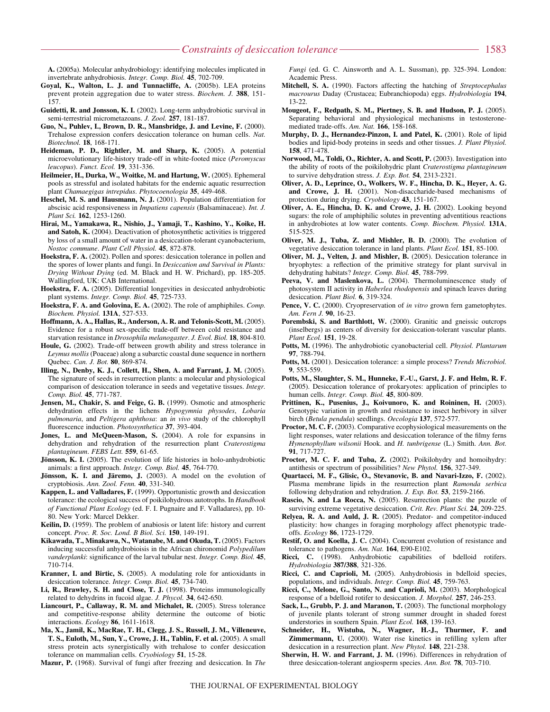**A.** (2005a). Molecular anhydrobiology: identifying molecules implicated in invertebrate anhydrobiosis. *Integr. Comp. Biol.* **45**, 702-709.

- **Goyal, K., Walton, L. J. and Tunnacliffe, A.** (2005b). LEA proteins prevent protein aggregation due to water stress. *Biochem. J.* **388**, 151- 157.
- **Guidetti, R. and Jonsson, K. I.** (2002). Long-term anhydrobiotic survival in semi-terrestrial micrometazoans. *J. Zool.* **257**, 181-187.
- **Guo, N., Puhlev, I., Brown, D. R., Mansbridge, J. and Levine, F.** (2000). Trehalose expression confers desiccation tolerance on human cells. *Nat. Biotechnol.* **18**, 168-171.
- **Heideman, P. D., Rightler, M. and Sharp, K.** (2005). A potential microevolutionary life-history trade-off in white-footed mice (*Peromyscus leucopus*). *Funct. Ecol.* **19**, 331-336.
- **Heilmeier, H., Durka, W., Woitke, M. and Hartung, W.** (2005). Ephemeral pools as stressful and isolated habitats for the endemic aquatic resurrection plant *Chamaegigas intrepidus*. *Phytocoenologia* **35**, 449-468.
- **Heschel, M. S. and Hausmann, N. J.** (2001). Population differentiation for abscisic acid responsiveness in *Impatiens capensis* (Balsaminaceae). *Int. J. Plant Sci.* **162**, 1253-1260.
- **Hirai, M., Yamakawa, R., Nishio, J., Yamaji, T., Kashino, Y., Koike, H. and Satoh, K.** (2004). Deactivation of photosynthetic activities is triggered by loss of a small amount of water in a desiccation-tolerant cyanobacterium, *Nostoc commune*. *Plant Cell Physiol.* **45**, 872-878.
- **Hoekstra, F. A.** (2002). Pollen and spores: desiccation tolerance in pollen and the spores of lower plants and fungi. In *Desiccation and Survival in Plants: Drying Without Dying* (ed. M. Black and H. W. Prichard), pp. 185-205. Wallingford, UK: CAB International.
- **Hoekstra, F. A.** (2005). Differential longevities in desiccated anhydrobiotic plant systems. *Integr. Comp. Biol.* **45**, 725-733.
- **Hoekstra, F. A. and Golovina, E. A.** (2002). The role of amphiphiles. *Comp. Biochem. Physiol.* **131A**, 527-533.
- **Hoffmann, A. A., Hallas, R., Anderson, A. R. and Telonis-Scott, M.** (2005). Evidence for a robust sex-specific trade-off between cold resistance and starvation resistance in *Drosophila melanogaster*. *J. Evol. Biol.* **18**, 804-810.
- **Houle, G.** (2002). Trade-off between growth ability and stress tolerance in *Leymus mollis* (Poaceae) along a subarctic coastal dune sequence in northern Quebec. *Can. J. Bot.* **80**, 869-874.
- **Illing, N., Denby, K. J., Collett, H., Shen, A. and Farrant, J. M.** (2005). The signature of seeds in resurrection plants: a molecular and physiological comparison of desiccation tolerance in seeds and vegetative tissues. *Integr. Comp. Biol.* **45**, 771-787.
- **Jensen, M., Chakir, S. and Feige, G. B.** (1999). Osmotic and atmospheric dehydration effects in the lichens *Hypogymnia physodes*, *Lobaria pulmonaria*, and *Peltigera aphthosa*: an *in vivo* study of the chlorophyll fluorescence induction. *Photosynthetica* **37**, 393-404.
- **Jones, L. and McQueen-Mason, S.** (2004). A role for expansins in dehydration and rehydration of the resurrection plant *Craterostigma plantagineum*. *FEBS Lett.* **559**, 61-65.
- **Jönsson, K. I.** (2005). The evolution of life histories in holo-anhydrobiotic animals: a first approach. *Integr. Comp. Biol.* **45**, 764-770.
- **Jönsson, K. I. and Järemo, J.** (2003). A model on the evolution of cryptobiosis. *Ann. Zool. Fenn.* **40**, 331-340.
- **Kappen, L. and Valladares, F.** (1999). Opportunistic growth and desiccation tolerance: the ecological success of poikilohydrous autotrophs. In *Handbook of Functional Plant Ecology* (ed. F. I. Pugnaire and F. Valladares), pp. 10- 80. New York: Marcel Dekker.
- **Keilin, D.** (1959). The problem of anabiosis or latent life: history and current concept. *Proc. R. Soc. Lond. B Biol. Sci.* **150**, 149-191.
- **Kikawada, T., Minakawa, N., Watanabe, M. and Okuda, T.** (2005). Factors inducing successful anhydrobioisis in the African chironomid *Polypedilum vanderplanki*: significance of the larval tubular nest. *Integr. Comp. Biol.* **45**, 710-714.
- **Kranner, I. and Birtic, S.** (2005). A modulating role for antioxidants in desiccation tolerance. *Integr. Comp. Biol.* **45**, 734-740.
- **Li, R., Brawley, S. H. and Close, T. J.** (1998). Proteins immunologically related to dehydrins in fucoid algae. *J. Phycol.* **34**, 642-650.
- **Liancourt, P., Callaway, R. M. and Michalet, R.** (2005). Stress tolerance and competitive-response ability determine the outcome of biotic interactions. *Ecology* **86**, 1611-1618.
- **Ma, X., Jamil, K., MacRae, T. H., Clegg, J. S., Russell, J. M., Villeneuve, T. S., Euloth, M., Sun, Y., Crowe, J. H., Tablin, F. et al.** (2005). A small stress protein acts synergistically with trehalose to confer desiccation tolerance on mammalian cells. *Cryobiology* **51**, 15-28.

**Mazur, P.** (1968). Survival of fungi after freezing and desiccation. In *The*

*Fungi* (ed. G. C. Ainsworth and A. L. Sussman), pp. 325-394. London: Academic Press.

- **Mitchell, S. A.** (1990). Factors affecting the hatching of *Streptocephalus macrourus* Daday (Crustacea; Eubranchiopoda) eggs. *Hydrobiologia* **194**, 13-22.
- **Mougeot, F., Redpath, S. M., Piertney, S. B. and Hudson, P. J.** (2005). Separating behavioral and physiological mechanisms in testosteronemediated trade-offs. *Am. Nat.* **166**, 158-168.
- **Murphy, D. J., Hernandez-Pinzon, I. and Patel, K.** (2001). Role of lipid bodies and lipid-body proteins in seeds and other tissues. *J. Plant Physiol.* **158**, 471-478.
- **Norwood, M., Toldi, O., Richter, A. and Scott, P.** (2003). Investigation into the ability of roots of the poikilohydric plant *Craterostigma plantagineum* to survive dehydration stress. *J. Exp. Bot.* **54**, 2313-2321.
- **Oliver, A. D., Leprince, O., Wolkers, W. F., Hincha, D. K., Heyer, A. G. and Crowe, J. H.** (2001). Non-disaccharide-based mechanisms of protection during drying. *Cryobiology* **43**, 151-167.
- **Oliver, A. E., Hincha, D. K. and Crowe, J. H.** (2002). Looking beyond sugars: the role of amphiphilic solutes in preventing adventitious reactions in anhydrobiotes at low water contents. *Comp. Biochem. Physiol.* **131A**, 515-525.
- **Oliver, M. J., Tuba, Z. and Mishler, B. D.** (2000). The evolution of vegetative desiccation tolerance in land plants. *Plant Ecol.* **151**, 85-100.
- **Oliver, M. J., Velten, J. and Mishler, B.** (2005). Desiccation tolerance in bryophytes: a reflection of the primitive strategy for plant survival in dehydrating habitats? *Integr. Comp. Biol.* **45**, 788-799.
- Peeva, V. and Maslenkova, L. (2004). Thermoluminescence study of photosystem II activity in *Haberlea rhodopensis* and spinach leaves during desiccation. *Plant Biol.* **6**, 319-324.
- **Pence, V. C.** (2000). Cryopreservation of *in vitro* grown fern gametophytes. *Am. Fern J.* **90**, 16-23.
- Porembski, S. and Barthlott, W. (2000). Granitic and gneissic outcrops (inselbergs) as centers of diversity for desiccation-tolerant vascular plants. *Plant Ecol.* **151**, 19-28.
- **Potts, M.** (1996). The anhydrobiotic cyanobacterial cell. *Physiol. Plantarum* **97**, 788-794.
- **Potts, M.** (2001). Desiccation tolerance: a simple process? *Trends Microbiol.* **9**, 553-559.
- **Potts, M., Slaughter, S. M., Hunneke, F.-U., Garst, J. F. and Helm, R. F.** (2005). Desiccation tolerance of prokaryotes: application of principles to human cells. *Integr. Comp. Biol.* **45**, 800-809.
- **Prittinen, K., Pusenius, J., Koivunoro, K. and Roininen, H.** (2003). Genotypic variation in growth and resistance to insect herbivory in silver birch (*Betula pendula*) seedlings. *Oecologia* **137**, 572-577.
- **Proctor, M. C. F.** (2003). Comparative ecophysiological measurements on the light responses, water relations and desiccation tolerance of the filmy ferns *Hymenophyllum wilsonii* Hook. and *H. tunbrigense* (L.) Smith. *Ann. Bot.* **91**, 717-727.
- **Proctor, M. C. F. and Tuba, Z.** (2002). Poikilohydry and homoihydry: antithesis or spectrum of possibilities? *New Phytol.* **156**, 327-349.
- **Quartacci, M. F., Glisic, O., Stevanovic, B. and Navari-Izzo, F.** (2002). Plasma membrane lipids in the resurrection plant *Ramonda serbica* following dehydration and rehydration. *J. Exp. Bot.* **53**, 2159-2166.
- **Rascio, N. and La Rocca, N.** (2005). Resurrection plants: the puzzle of surviving extreme vegetative desiccation. *Crit. Rev. Plant Sci.* **24**, 209-225.
- **Relyea, R. A. and Auld, J. R.** (2005). Predator- and competitor-induced plasticity: how changes in foraging morphology affect phenotypic tradeoffs. *Ecology* **86**, 1723-1729.
- **Restif, O. and Koella, J. C.** (2004). Concurrent evolution of resistance and tolerance to pathogens. *Am. Nat.* **164**, E90-E102.
- Ricci, C. (1998). Anhydrobiotic capabilities of bdelloid rotifers. *Hydrobiologia* **387/388**, 321-326.
- **Ricci, C. and Caprioli, M.** (2005). Anhydrobiosis in bdelloid species, populations, and individuals. *Integr. Comp. Biol.* **45**, 759-763.
- **Ricci, C., Melone, G., Santo, N. and Caprioli, M.** (2003). Morphological response of a bdelloid rotifer to desiccation. *J. Morphol.* **257**, 246-253.
- **Sack, L., Grubb, P. J. and Maranon, T.** (2003). The functional morphology of juvenile plants tolerant of strong summer drought in shaded forest understories in southern Spain. *Plant Ecol.* **168**, 139-163.
- **Schneider, H., Wistuba, N., Wagner, H.-J., Thurmer, F. and Zimmermann, U.** (2000). Water rise kinetics in refilling xylem after desiccation in a resurrection plant. *New Phytol.* **148**, 221-238.
- **Sherwin, H. W. and Farrant, J. M.** (1996). Differences in rehydration of three desiccation-tolerant angiosperm species. *Ann. Bot.* **78**, 703-710.